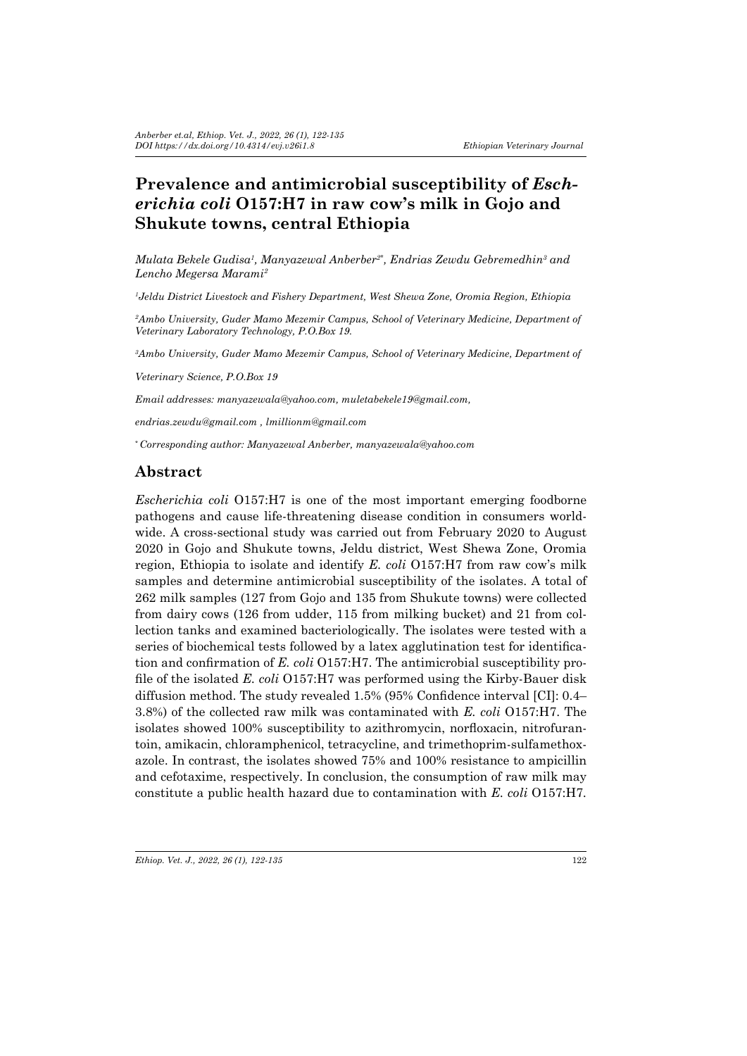# Prevalence and antimicrobial susceptibility of *Escherichia coli* **O157:H7 in raw cow's milk in Gojo and Shukute towns, central Ethiopia**

*Mulata Bekele Gudisa1 , Manyazewal Anberber2\*, Endrias Zewdu Gebremedhin<sup>3</sup> and Lencho Megersa Marami<sup>2</sup>*

*1 Jeldu District Livestock and Fishery Department, West Shewa Zone, Oromia Region, Ethiopia*

*2 Ambo University, Guder Mamo Mezemir Campus, School of Veterinary Medicine, Department of Veterinary Laboratory Technology, P.O.Box 19.*

*3 Ambo University, Guder Mamo Mezemir Campus, School of Veterinary Medicine, Department of* 

*Veterinary Science, P.O.Box 19*

*Email addresses: manyazewala@yahoo.com, muletabekele19@gmail.com,* 

*endrias.zewdu@gmail.com , lmillionm@gmail.com*

*\* Corresponding author: Manyazewal Anberber, manyazewala@yahoo.com*

# **Abstract**

*Escherichia coli* O157:H7 is one of the most important emerging foodborne pathogens and cause life-threatening disease condition in consumers worldwide. A cross-sectional study was carried out from February 2020 to August 2020 in Gojo and Shukute towns, Jeldu district, West Shewa Zone, Oromia region, Ethiopia to isolate and identify *E. coli* O157:H7 from raw cow's milk samples and determine antimicrobial susceptibility of the isolates. A total of 262 milk samples (127 from Gojo and 135 from Shukute towns) were collected from dairy cows (126 from udder, 115 from milking bucket) and 21 from collection tanks and examined bacteriologically. The isolates were tested with a series of biochemical tests followed by a latex agglutination test for identification and confirmation of *E. coli* O157:H7. The antimicrobial susceptibility profile of the isolated *E. coli* O157:H7 was performed using the Kirby-Bauer disk diffusion method. The study revealed 1.5% (95% Confidence interval [CI]: 0.4– 3.8%) of the collected raw milk was contaminated with *E. coli* O157:H7. The isolates showed 100% susceptibility to azithromycin, norfloxacin, nitrofurantoin, amikacin, chloramphenicol, tetracycline, and trimethoprim-sulfamethoxazole. In contrast, the isolates showed 75% and 100% resistance to ampicillin and cefotaxime, respectively. In conclusion, the consumption of raw milk may constitute a public health hazard due to contamination with *E. coli* O157:H7*.*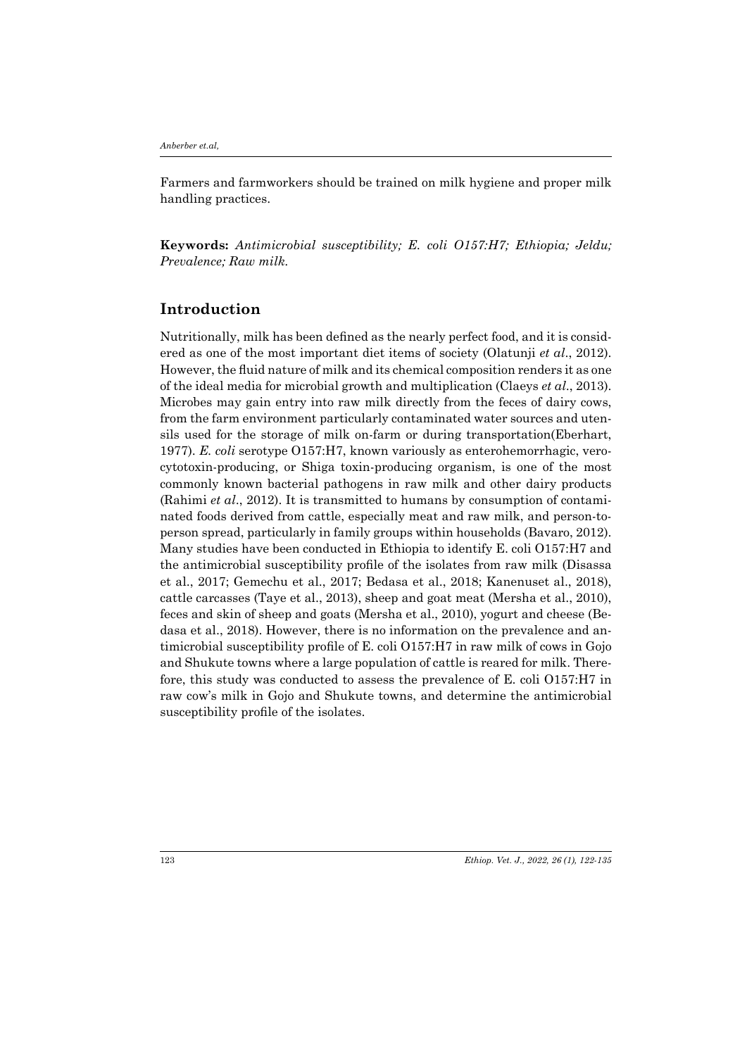*Anberber et.al,* 

Farmers and farmworkers should be trained on milk hygiene and proper milk handling practices.

**Keywords:** *Antimicrobial susceptibility; E. coli O157:H7; Ethiopia; Jeldu; Prevalence; Raw milk.*

## **Introduction**

Nutritionally, milk has been defined as the nearly perfect food, and it is considered as one of the most important diet items of society (Olatunji *et al*., 2012). However, the fluid nature of milk and its chemical composition renders it as one of the ideal media for microbial growth and multiplication (Claeys *et al*., 2013). Microbes may gain entry into raw milk directly from the feces of dairy cows, from the farm environment particularly contaminated water sources and utensils used for the storage of milk on-farm or during transportation(Eberhart, 1977). *E. coli* serotype O157:H7, known variously as enterohemorrhagic, verocytotoxin-producing, or Shiga toxin-producing organism, is one of the most commonly known bacterial pathogens in raw milk and other dairy products (Rahimi *et al*., 2012). It is transmitted to humans by consumption of contaminated foods derived from cattle, especially meat and raw milk, and person-toperson spread, particularly in family groups within households (Bavaro, 2012). Many studies have been conducted in Ethiopia to identify E. coli O157:H7 and the antimicrobial susceptibility profile of the isolates from raw milk (Disassa et al., 2017; Gemechu et al., 2017; Bedasa et al., 2018; Kanenuset al., 2018), cattle carcasses (Taye et al., 2013), sheep and goat meat (Mersha et al., 2010), feces and skin of sheep and goats (Mersha et al., 2010), yogurt and cheese (Bedasa et al., 2018). However, there is no information on the prevalence and antimicrobial susceptibility profile of E. coli O157:H7 in raw milk of cows in Gojo and Shukute towns where a large population of cattle is reared for milk. Therefore, this study was conducted to assess the prevalence of E. coli O157:H7 in raw cow's milk in Gojo and Shukute towns, and determine the antimicrobial susceptibility profile of the isolates.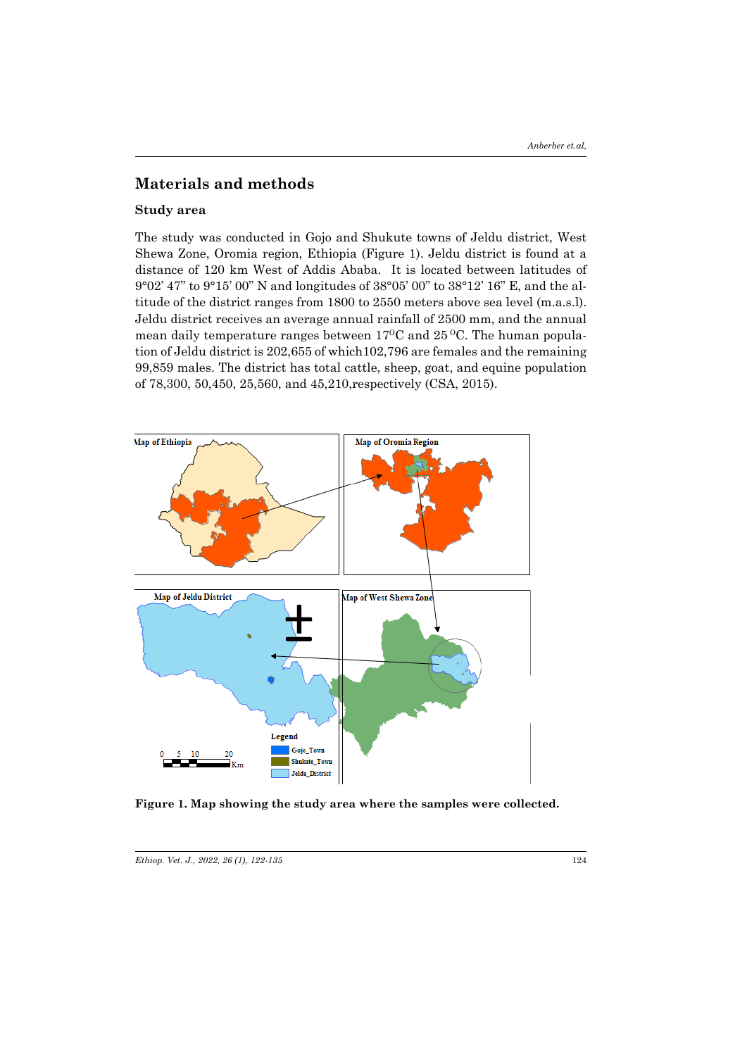### **Materials and methods**

#### **Study area**

The study was conducted in Gojo and Shukute towns of Jeldu district, West Shewa Zone, Oromia region, Ethiopia (Figure 1). Jeldu district is found at a distance of 120 km West of Addis Ababa. It is located between latitudes of 9°02' 47" to 9°15' 00" N and longitudes of 38°05' 00" to 38°12' 16" E, and the altitude of the district ranges from 1800 to 2550 meters above sea level (m.a.s.l). Jeldu district receives an average annual rainfall of 2500 mm, and the annual mean daily temperature ranges between  $17^{\circ}$ C and  $25^{\circ}$ C. The human population of Jeldu district is 202,655 of which102,796 are females and the remaining 99,859 males. The district has total cattle, sheep, goat, and equine population of 78,300, 50,450, 25,560, and 45,210,respectively (CSA, 2015).



**Figure 1. Map showing the study area where the samples were collected.**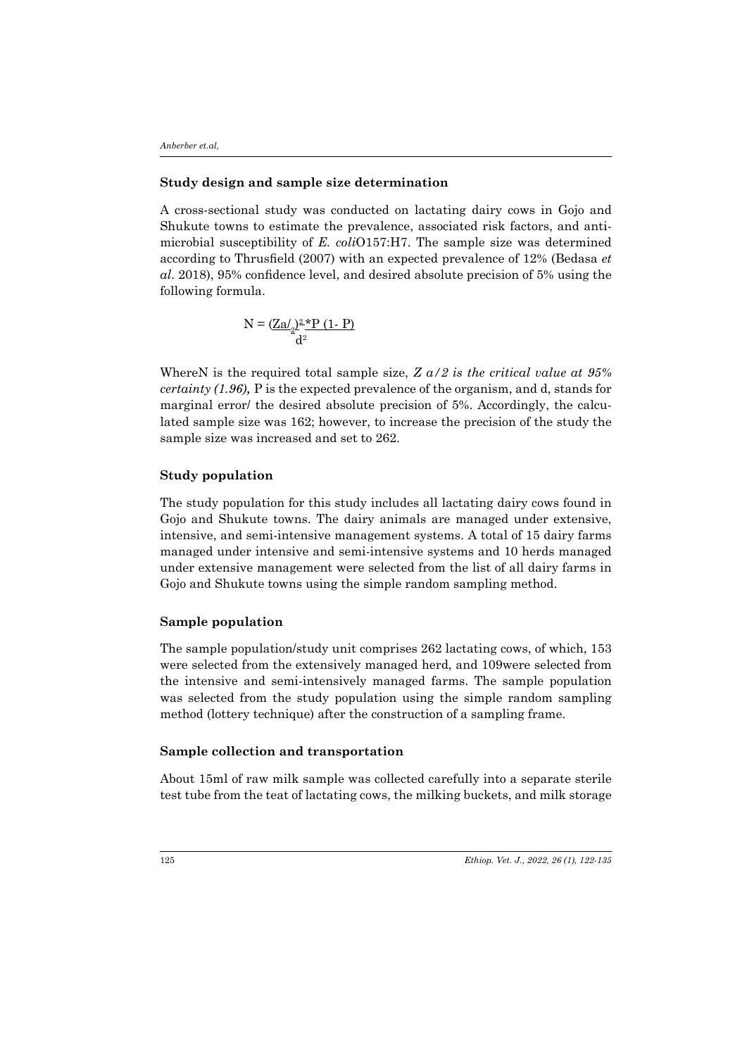#### **Study design and sample size determination**

A cross-sectional study was conducted on lactating dairy cows in Gojo and Shukute towns to estimate the prevalence, associated risk factors, and antimicrobial susceptibility of *E. coli*O157:H7. The sample size was determined according to Thrusfield (2007) with an expected prevalence of 12% (Bedasa *et al*. 2018), 95% confidence level, and desired absolute precision of 5% using the following formula.

$$
N = (\underline{Za/2}^2)^2 \frac{*P (1-P)}{d^2}
$$

WhereN is the required total sample size, *Z a/2 is the critical value at 95% certainty (1.96),* P is the expected prevalence of the organism, and d, stands for marginal error/ the desired absolute precision of 5%. Accordingly, the calculated sample size was 162; however, to increase the precision of the study the sample size was increased and set to 262.

#### **Study population**

The study population for this study includes all lactating dairy cows found in Gojo and Shukute towns. The dairy animals are managed under extensive, intensive, and semi-intensive management systems. A total of 15 dairy farms managed under intensive and semi-intensive systems and 10 herds managed under extensive management were selected from the list of all dairy farms in Gojo and Shukute towns using the simple random sampling method.

#### **Sample population**

The sample population/study unit comprises 262 lactating cows, of which, 153 were selected from the extensively managed herd, and 109were selected from the intensive and semi-intensively managed farms. The sample population was selected from the study population using the simple random sampling method (lottery technique) after the construction of a sampling frame.

#### **Sample collection and transportation**

About 15ml of raw milk sample was collected carefully into a separate sterile test tube from the teat of lactating cows, the milking buckets, and milk storage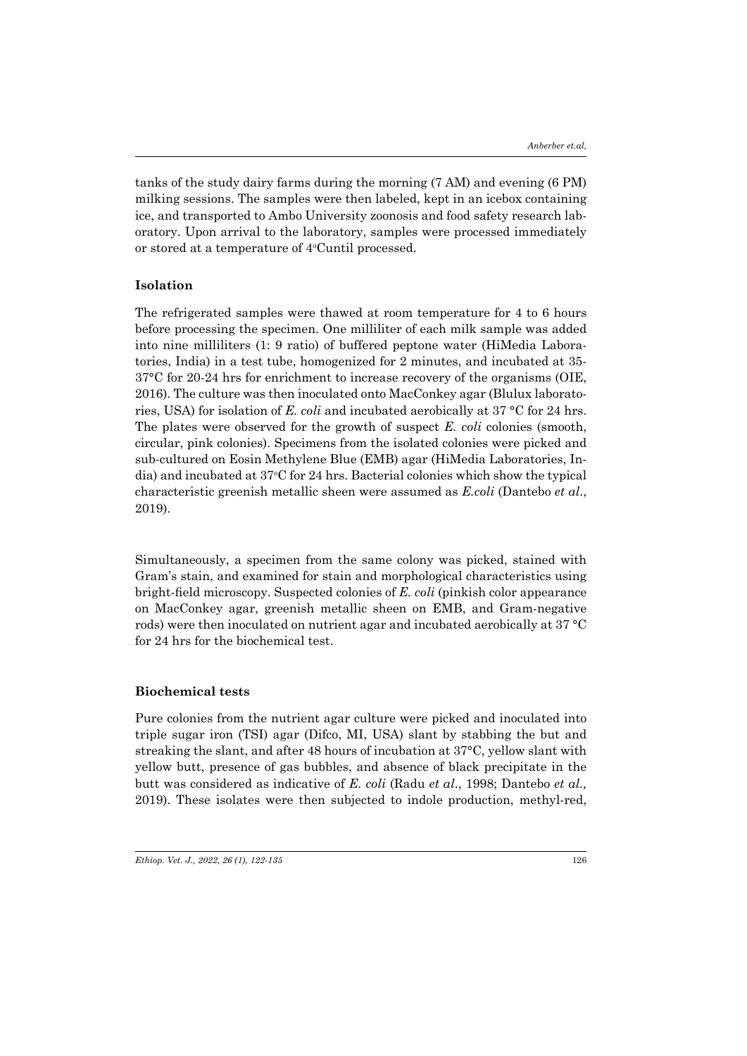tanks of the study dairy farms during the morning (7 AM) and evening (6 PM) milking sessions. The samples were then labeled, kept in an icebox containing ice, and transported to Ambo University zoonosis and food safety research laboratory. Upon arrival to the laboratory, samples were processed immediately or stored at a temperature of 4°Cuntil processed.

### **Isolation**

The refrigerated samples were thawed at room temperature for 4 to 6 hours before processing the specimen. One milliliter of each milk sample was added into nine milliliters (1: 9 ratio) of buffered peptone water (HiMedia Laboratories, India) in a test tube, homogenized for 2 minutes, and incubated at 35- 37°C for 20-24 hrs for enrichment to increase recovery of the organisms (OIE, 2016). The culture was then inoculated onto MacConkey agar (Blulux laboratories, USA) for isolation of *E. coli* and incubated aerobically at 37 °C for 24 hrs. The plates were observed for the growth of suspect *E. coli* colonies (smooth, circular, pink colonies). Specimens from the isolated colonies were picked and sub-cultured on Eosin Methylene Blue (EMB) agar (HiMedia Laboratories, India) and incubated at 37°C for 24 hrs. Bacterial colonies which show the typical characteristic greenish metallic sheen were assumed as *E.coli* (Dantebo *et al*., 2019).

Simultaneously, a specimen from the same colony was picked, stained with Gram's stain, and examined for stain and morphological characteristics using bright-field microscopy. Suspected colonies of *E. coli* (pinkish color appearance on MacConkey agar, greenish metallic sheen on EMB, and Gram-negative rods) were then inoculated on nutrient agar and incubated aerobically at 37 °C for 24 hrs for the biochemical test.

#### **Biochemical tests**

Pure colonies from the nutrient agar culture were picked and inoculated into triple sugar iron (TSI) agar (Difco, MI, USA) slant by stabbing the but and streaking the slant, and after 48 hours of incubation at 37°C, yellow slant with yellow butt, presence of gas bubbles, and absence of black precipitate in the butt was considered as indicative of *E. coli* (Radu *et al*., 1998; Dantebo *et al.,* 2019). These isolates were then subjected to indole production, methyl-red,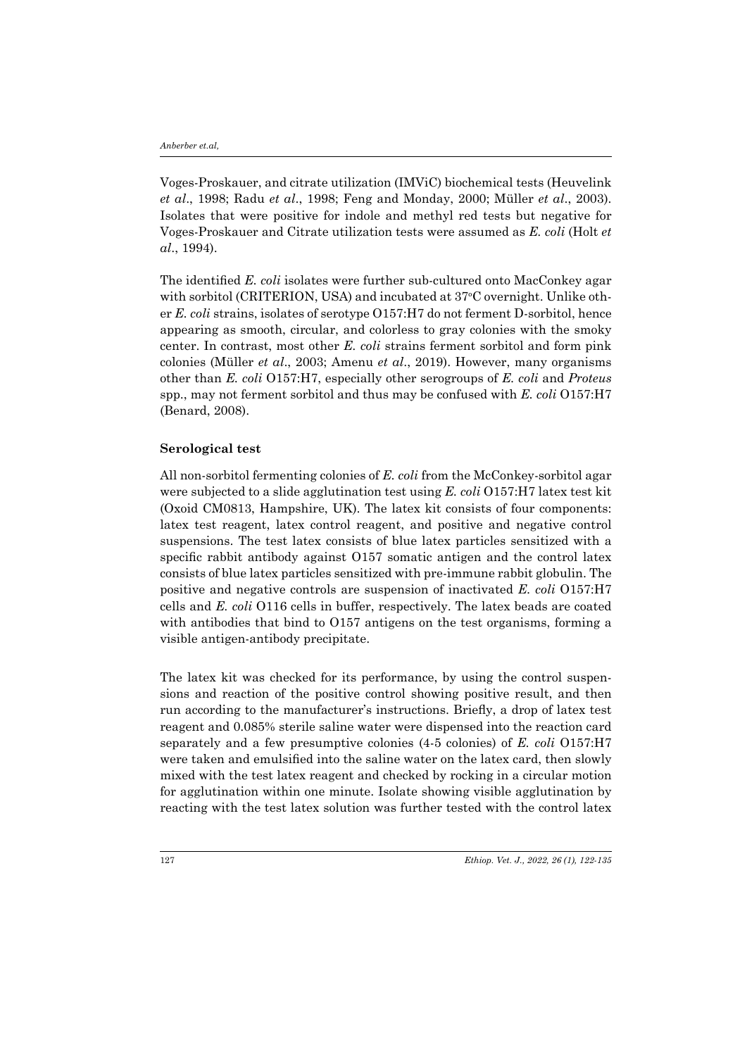Voges-Proskauer, and citrate utilization (IMViC) biochemical tests (Heuvelink *et al*., 1998; Radu *et al*., 1998; Feng and Monday, 2000; Müller *et al*., 2003). Isolates that were positive for indole and methyl red tests but negative for Voges-Proskauer and Citrate utilization tests were assumed as *E. coli* (Holt *et al*., 1994).

The identified *E. coli* isolates were further sub-cultured onto MacConkey agar with sorbitol (CRITERION, USA) and incubated at 37°C overnight. Unlike other *E. coli* strains, isolates of serotype O157:H7 do not ferment D-sorbitol, hence appearing as smooth, circular, and colorless to gray colonies with the smoky center. In contrast, most other *E. coli* strains ferment sorbitol and form pink colonies (Müller *et al*., 2003; Amenu *et al*., 2019). However, many organisms other than *E. coli* O157:H7, especially other serogroups of *E. coli* and *Proteus* spp., may not ferment sorbitol and thus may be confused with *E. coli* O157:H7 (Benard, 2008).

#### **Serological test**

All non-sorbitol fermenting colonies of *E. coli* from the McConkey-sorbitol agar were subjected to a slide agglutination test using *E. coli* O157:H7 latex test kit (Oxoid CM0813, Hampshire, UK). The latex kit consists of four components: latex test reagent, latex control reagent, and positive and negative control suspensions. The test latex consists of blue latex particles sensitized with a specific rabbit antibody against O157 somatic antigen and the control latex consists of blue latex particles sensitized with pre-immune rabbit globulin. The positive and negative controls are suspension of inactivated *E. coli* O157:H7 cells and *E. coli* O116 cells in buffer, respectively. The latex beads are coated with antibodies that bind to 0157 antigens on the test organisms, forming a visible antigen-antibody precipitate.

The latex kit was checked for its performance, by using the control suspensions and reaction of the positive control showing positive result, and then run according to the manufacturer's instructions. Briefly, a drop of latex test reagent and 0.085% sterile saline water were dispensed into the reaction card separately and a few presumptive colonies (4-5 colonies) of *E. coli* O157:H7 were taken and emulsified into the saline water on the latex card, then slowly mixed with the test latex reagent and checked by rocking in a circular motion for agglutination within one minute. Isolate showing visible agglutination by reacting with the test latex solution was further tested with the control latex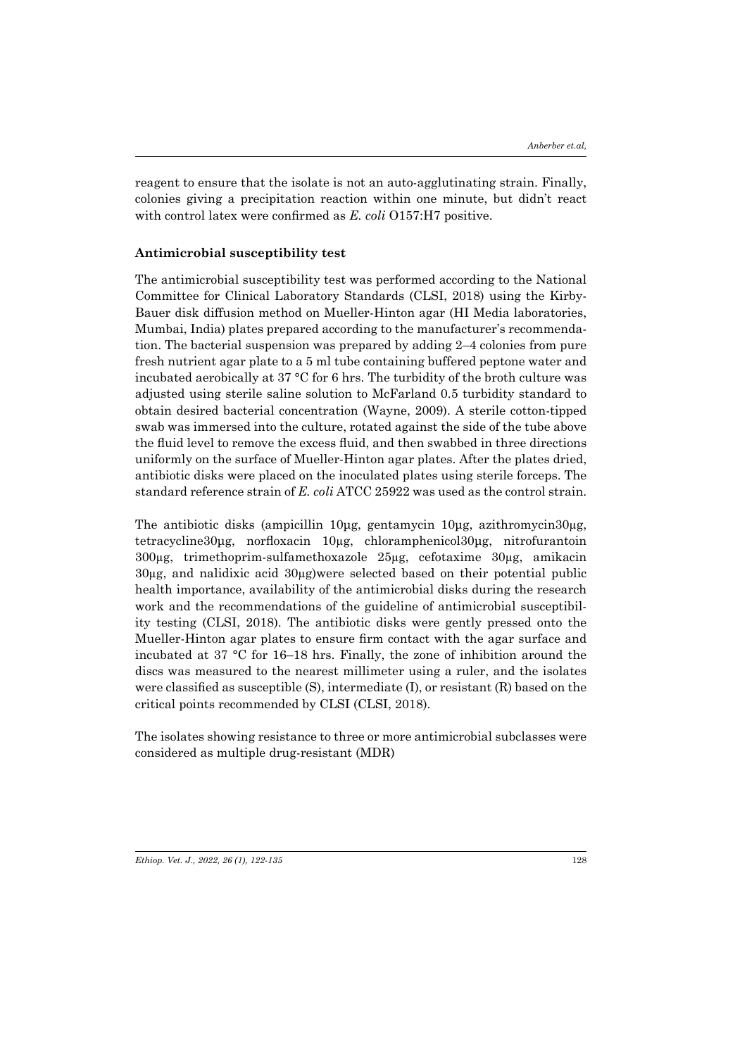reagent to ensure that the isolate is not an auto-agglutinating strain. Finally, colonies giving a precipitation reaction within one minute, but didn't react with control latex were confirmed as *E. coli* O157:H7 positive.

#### **Antimicrobial susceptibility test**

The antimicrobial susceptibility test was performed according to the National Committee for Clinical Laboratory Standards (CLSI, 2018) using the Kirby-Bauer disk diffusion method on Mueller-Hinton agar (HI Media laboratories, Mumbai, India) plates prepared according to the manufacturer's recommendation. The bacterial suspension was prepared by adding 2–4 colonies from pure fresh nutrient agar plate to a 5 ml tube containing buffered peptone water and incubated aerobically at 37 °C for 6 hrs. The turbidity of the broth culture was adjusted using sterile saline solution to McFarland 0.5 turbidity standard to obtain desired bacterial concentration (Wayne, 2009). A sterile cotton-tipped swab was immersed into the culture, rotated against the side of the tube above the fluid level to remove the excess fluid, and then swabbed in three directions uniformly on the surface of Mueller-Hinton agar plates. After the plates dried, antibiotic disks were placed on the inoculated plates using sterile forceps. The standard reference strain of *E. coli* ATCC 25922 was used as the control strain.

The antibiotic disks (ampicillin 10μg, gentamycin 10μg, azithromycin30µg, tetracycline30μg, norfloxacin 10µg, chloramphenicol30μg, nitrofurantoin 300µg, trimethoprim-sulfamethoxazole 25µg, cefotaxime 30µg, amikacin 30µg, and nalidixic acid 30µg)were selected based on their potential public health importance, availability of the antimicrobial disks during the research work and the recommendations of the guideline of antimicrobial susceptibility testing (CLSI, 2018). The antibiotic disks were gently pressed onto the Mueller-Hinton agar plates to ensure firm contact with the agar surface and incubated at 37 °C for 16–18 hrs. Finally, the zone of inhibition around the discs was measured to the nearest millimeter using a ruler, and the isolates were classified as susceptible (S), intermediate (I), or resistant (R) based on the critical points recommended by CLSI (CLSI, 2018).

The isolates showing resistance to three or more antimicrobial subclasses were considered as multiple drug-resistant (MDR)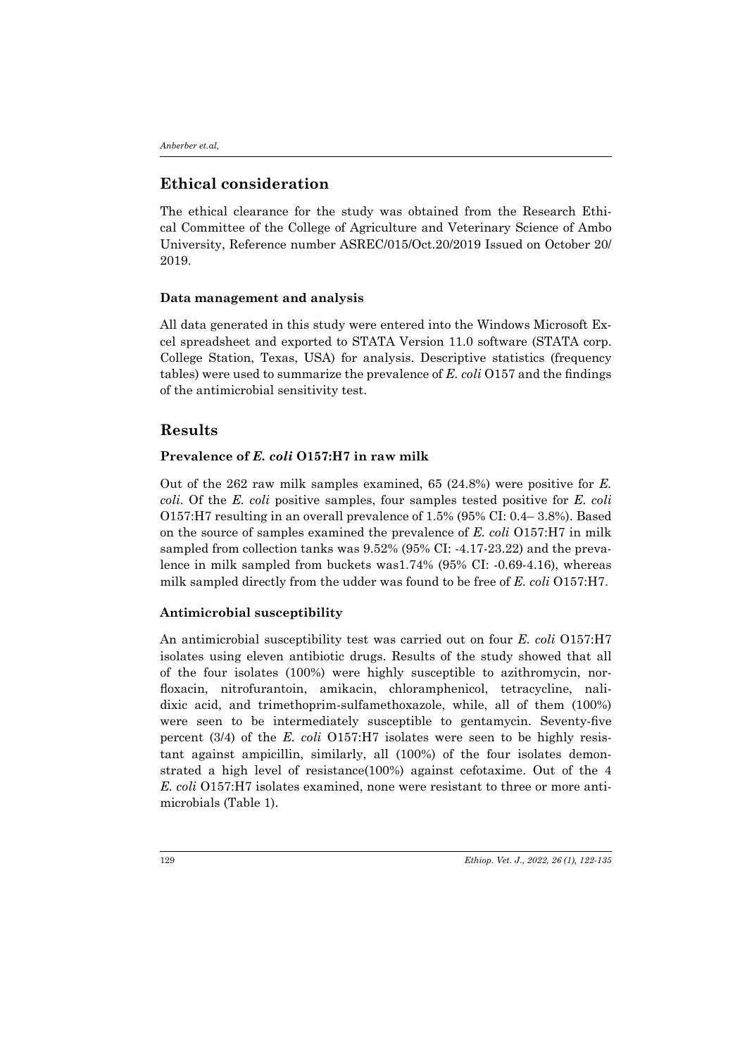# **Ethical consideration**

The ethical clearance for the study was obtained from the Research Ethical Committee of the College of Agriculture and Veterinary Science of Ambo University, Reference number ASREC/015/Oct.20/2019 Issued on October 20/ 2019.

#### **Data management and analysis**

All data generated in this study were entered into the Windows Microsoft Excel spreadsheet and exported to STATA Version 11.0 software (STATA corp. College Station, Texas, USA) for analysis. Descriptive statistics (frequency tables) were used to summarize the prevalence of *E. coli* O157 and the findings of the antimicrobial sensitivity test.

## **Results**

#### **Prevalence of** *E. coli* **O157:H7 in raw milk**

Out of the 262 raw milk samples examined, 65 (24.8%) were positive for *E. coli*. Of the *E. coli* positive samples, four samples tested positive for *E. coli* O157:H7 resulting in an overall prevalence of 1.5% (95% CI: 0.4– 3.8%). Based on the source of samples examined the prevalence of *E. coli* O157:H7 in milk sampled from collection tanks was 9.52% (95% CI: -4.17-23.22) and the prevalence in milk sampled from buckets was1.74% (95% CI: -0.69-4.16), whereas milk sampled directly from the udder was found to be free of *E. coli* O157:H7.

#### **Antimicrobial susceptibility**

An antimicrobial susceptibility test was carried out on four *E. coli* O157:H7 isolates using eleven antibiotic drugs. Results of the study showed that all of the four isolates (100%) were highly susceptible to azithromycin, norfloxacin, nitrofurantoin, amikacin, chloramphenicol, tetracycline, nalidixic acid, and trimethoprim-sulfamethoxazole, while, all of them (100%) were seen to be intermediately susceptible to gentamycin. Seventy-five percent (3/4) of the *E. coli* O157:H7 isolates were seen to be highly resistant against ampicillin, similarly, all (100%) of the four isolates demonstrated a high level of resistance(100%) against cefotaxime. Out of the 4 *E. coli* O157:H7 isolates examined, none were resistant to three or more antimicrobials (Table 1).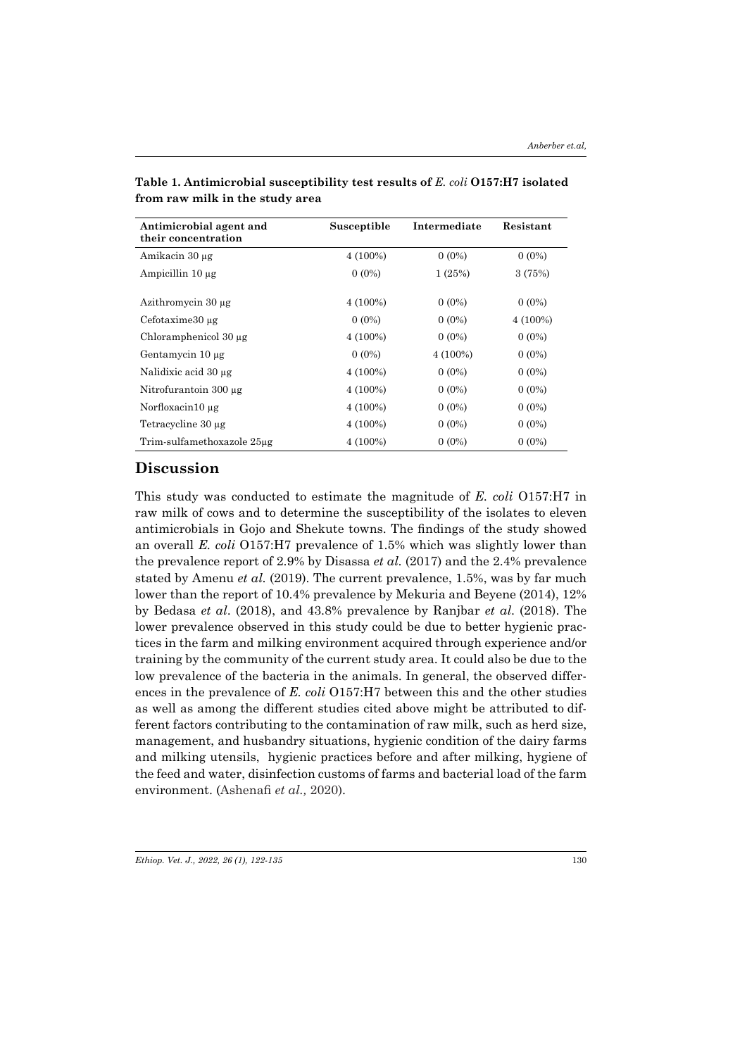| Antimicrobial agent and<br>their concentration | Susceptible | Intermediate | Resistant  |
|------------------------------------------------|-------------|--------------|------------|
| Amikacin 30 μg                                 | $4(100\%)$  | $0(0\%)$     | $0(0\%)$   |
| Ampicillin $10 \mu$ g                          | $0(0\%)$    | 1 (25%)      | 3 (75%)    |
| Azithromycin 30 µg                             | $4(100\%)$  | $0(0\%)$     | $0(0\%)$   |
| Cefotaxime30 µg                                | $0(0\%)$    | $0(0\%)$     | $4(100\%)$ |
| Chloramphenicol 30 µg                          | $4(100\%)$  | $0(0\%)$     | $0(0\%)$   |
| Gentamycin 10 µg                               | $0(0\%)$    | $4(100\%)$   | $0(0\%)$   |
| Nalidixic acid 30 µg                           | $4(100\%)$  | $0(0\%)$     | $0(0\%)$   |
| Nitrofurantoin 300 µg                          | $4(100\%)$  | $0(0\%)$     | $0(0\%)$   |
| Norfloxacin10 $\mu$ g                          | $4(100\%)$  | $0(0\%)$     | $0(0\%)$   |
| Tetracycline 30 µg                             | $4(100\%)$  | $0(0\%)$     | $0(0\%)$   |
| Trim-sulfamethoxazole 25µg                     | $4(100\%)$  | $0(0\%)$     | $0(0\%)$   |

**Table 1. Antimicrobial susceptibility test results of** *E. coli* **O157:H7 isolated from raw milk in the study area**

# **Discussion**

This study was conducted to estimate the magnitude of *E. coli* O157:H7 in raw milk of cows and to determine the susceptibility of the isolates to eleven antimicrobials in Gojo and Shekute towns. The findings of the study showed an overall *E. coli* O157:H7 prevalence of 1.5% which was slightly lower than the prevalence report of 2.9% by Disassa *et al.* (2017) and the 2.4% prevalence stated by Amenu *et al.* (2019). The current prevalence, 1.5%, was by far much lower than the report of 10.4% prevalence by Mekuria and Beyene (2014), 12% by Bedasa *et al*. (2018), and 43.8% prevalence by Ranjbar *et al*. (2018). The lower prevalence observed in this study could be due to better hygienic practices in the farm and milking environment acquired through experience and/or training by the community of the current study area. It could also be due to the low prevalence of the bacteria in the animals. In general, the observed differences in the prevalence of *E. coli* O157:H7 between this and the other studies as well as among the different studies cited above might be attributed to different factors contributing to the contamination of raw milk, such as herd size, management, and husbandry situations, hygienic condition of the dairy farms and milking utensils, hygienic practices before and after milking, hygiene of the feed and water, disinfection customs of farms and bacterial load of the farm environment. (Ashenafi *et al.,* 2020).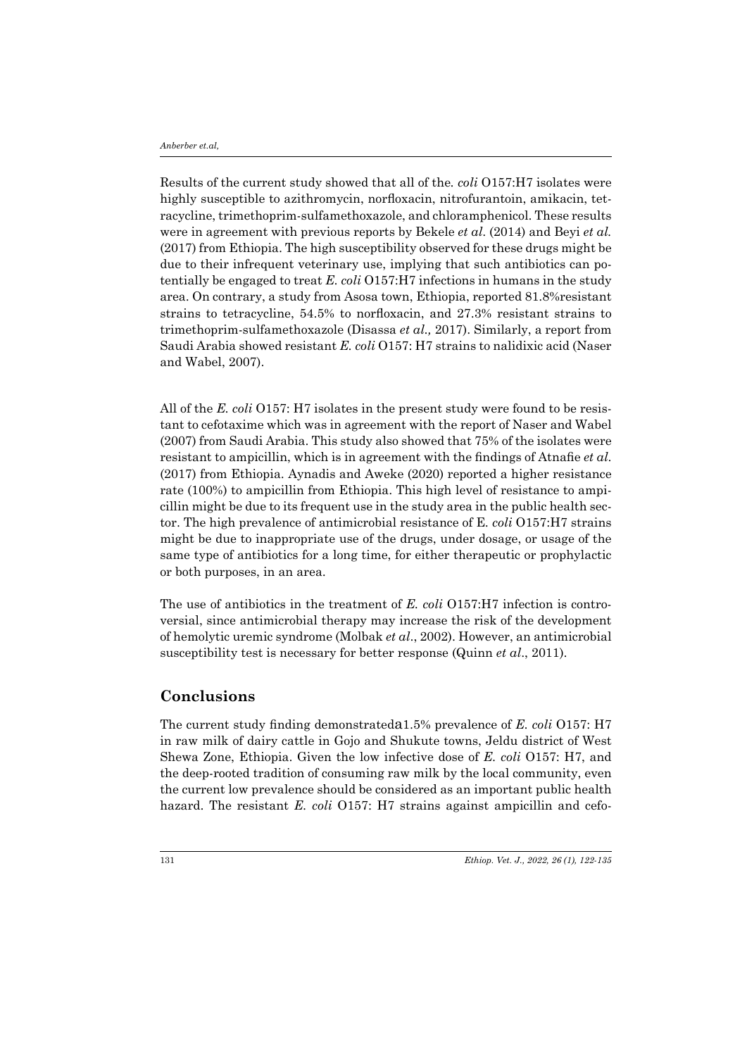Results of the current study showed that all of the*. coli* O157:H7 isolates were highly susceptible to azithromycin, norfloxacin, nitrofurantoin, amikacin, tetracycline, trimethoprim-sulfamethoxazole, and chloramphenicol. These results were in agreement with previous reports by Bekele *et al*. (2014) and Beyi *et al.*  (2017) from Ethiopia. The high susceptibility observed for these drugs might be due to their infrequent veterinary use, implying that such antibiotics can potentially be engaged to treat *E. coli* O157:H7 infections in humans in the study area. On contrary, a study from Asosa town, Ethiopia, reported 81.8%resistant strains to tetracycline, 54.5% to norfloxacin, and 27.3% resistant strains to trimethoprim-sulfamethoxazole (Disassa *et al.,* 2017). Similarly, a report from Saudi Arabia showed resistant *E. coli* O157: H7 strains to nalidixic acid (Naser and Wabel, 2007).

All of the *E. coli* O157: H7 isolates in the present study were found to be resistant to cefotaxime which was in agreement with the report of Naser and Wabel (2007) from Saudi Arabia. This study also showed that 75% of the isolates were resistant to ampicillin, which is in agreement with the findings of Atnafie *et al*. (2017) from Ethiopia. Aynadis and Aweke (2020) reported a higher resistance rate (100%) to ampicillin from Ethiopia. This high level of resistance to ampicillin might be due to its frequent use in the study area in the public health sector. The high prevalence of antimicrobial resistance of E*. coli* O157:H7 strains might be due to inappropriate use of the drugs, under dosage, or usage of the same type of antibiotics for a long time, for either therapeutic or prophylactic or both purposes, in an area.

The use of antibiotics in the treatment of *E. coli* O157:H7 infection is controversial, since antimicrobial therapy may increase the risk of the development of hemolytic uremic syndrome (Molbak *et al*., 2002). However, an antimicrobial susceptibility test is necessary for better response (Quinn *et al*., 2011).

### **Conclusions**

The current study finding demonstrateda1.5% prevalence of *E. coli* O157: H7 in raw milk of dairy cattle in Gojo and Shukute towns, Jeldu district of West Shewa Zone, Ethiopia. Given the low infective dose of *E. coli* O157: H7, and the deep-rooted tradition of consuming raw milk by the local community, even the current low prevalence should be considered as an important public health hazard. The resistant *E. coli* O157: H7 strains against ampicillin and cefo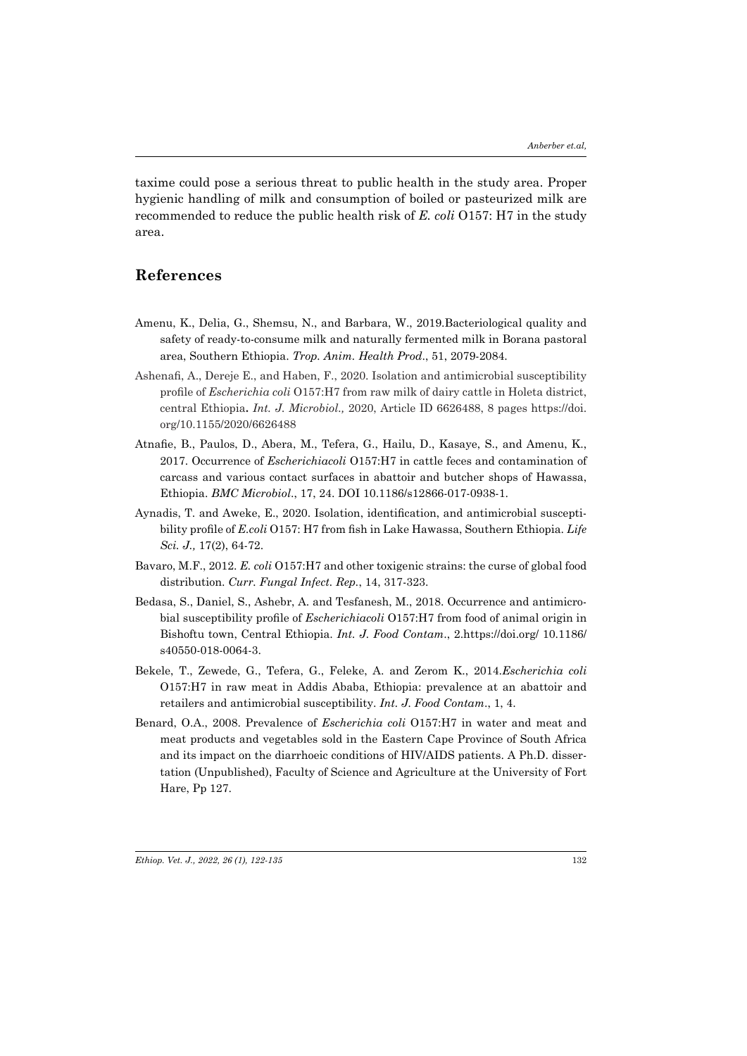taxime could pose a serious threat to public health in the study area. Proper hygienic handling of milk and consumption of boiled or pasteurized milk are recommended to reduce the public health risk of *E. coli* O157: H7 in the study area.

# **References**

- Amenu, K., Delia, G., Shemsu, N., and Barbara, W., 2019.Bacteriological quality and safety of ready-to-consume milk and naturally fermented milk in Borana pastoral area, Southern Ethiopia. *Trop. Anim. Health Prod*., 51, 2079-2084.
- Ashenafi, A., Dereje E., and Haben, F., 2020. Isolation and antimicrobial susceptibility profile of *Escherichia coli* O157:H7 from raw milk of dairy cattle in Holeta district, central Ethiopia**.** *Int. J. Microbiol.,* 2020, Article ID 6626488, 8 pages https://doi. org/10.1155/2020/6626488
- Atnafie, B., Paulos, D., Abera, M., Tefera, G., Hailu, D., Kasaye, S., and Amenu, K., 2017. Occurrence of *Escherichiacoli* O157:H7 in cattle feces and contamination of carcass and various contact surfaces in abattoir and butcher shops of Hawassa, Ethiopia. *BMC Microbiol*., 17, 24. DOI 10.1186/s12866-017-0938-1.
- Aynadis, T. and Aweke, E., 2020. Isolation, identification, and antimicrobial susceptibility profile of *E.coli* O157: H7 from fish in Lake Hawassa, Southern Ethiopia. *Life Sci. J.,* 17(2), 64-72.
- Bavaro, M.F., 2012. *E. coli* O157:H7 and other toxigenic strains: the curse of global food distribution. *Curr. Fungal Infect. Rep.*, 14, 317-323.
- Bedasa, S., Daniel, S., Ashebr, A. and Tesfanesh, M., 2018. Occurrence and antimicrobial susceptibility profile of *Escherichiacoli* O157:H7 from food of animal origin in Bishoftu town, Central Ethiopia. *Int. J. Food Contam*., 2.https://doi.org/ 10.1186/ s40550-018-0064-3.
- Bekele, T., Zewede, G., Tefera, G., Feleke, A. and Zerom K., 2014.*Escherichia coli* O157:H7 in raw meat in Addis Ababa, Ethiopia: prevalence at an abattoir and retailers and antimicrobial susceptibility. *Int. J. Food Contam*., 1, 4.
- Benard, O.A., 2008. Prevalence of *Escherichia coli* O157:H7 in water and meat and meat products and vegetables sold in the Eastern Cape Province of South Africa and its impact on the diarrhoeic conditions of HIV/AIDS patients. A Ph.D. dissertation (Unpublished), Faculty of Science and Agriculture at the University of Fort Hare, Pp 127.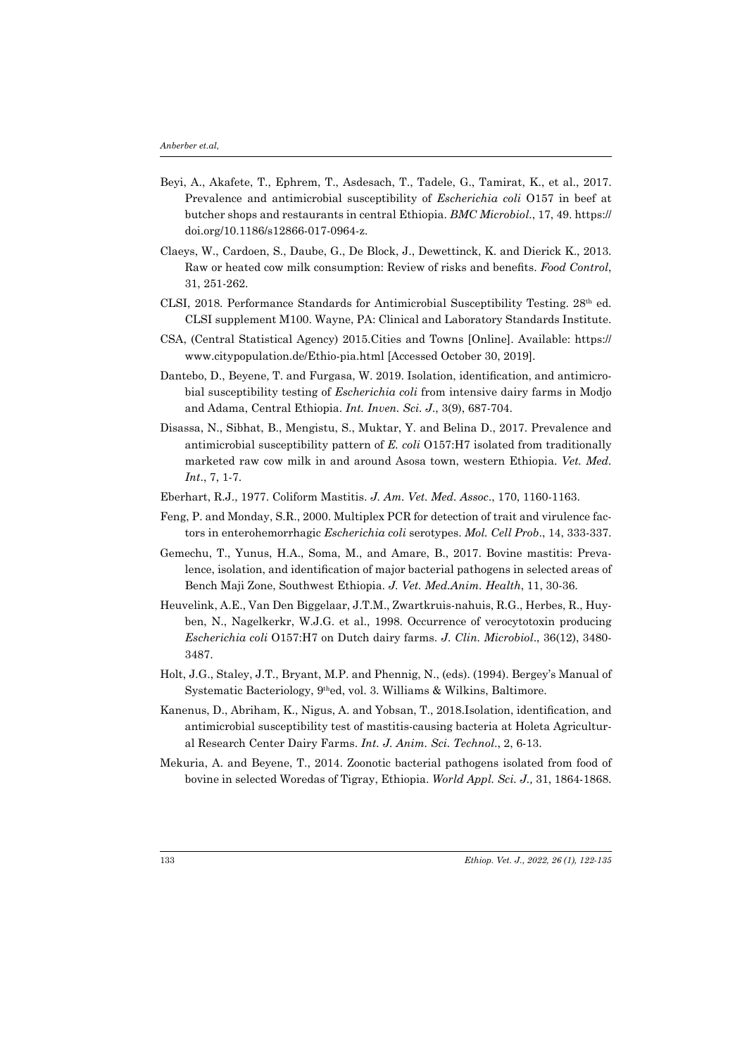- Beyi, A., Akafete, T., Ephrem, T., Asdesach, T., Tadele, G., Tamirat, K., et al., 2017. Prevalence and antimicrobial susceptibility of *Escherichia coli* O157 in beef at butcher shops and restaurants in central Ethiopia. *BMC Microbiol*., 17, 49. https:// doi.org/10.1186/s12866-017-0964-z.
- Claeys, W., Cardoen, S., Daube, G., De Block, J., Dewettinck, K. and Dierick K., 2013. Raw or heated cow milk consumption: Review of risks and benefits. *Food Control*, 31, 251-262.
- CLSI, 2018. Performance Standards for Antimicrobial Susceptibility Testing. 28th ed. CLSI supplement M100. Wayne, PA: Clinical and Laboratory Standards Institute.
- CSA, (Central Statistical Agency) 2015.Cities and Towns [Online]. Available: https:// www.citypopulation.de/Ethio-pia.html [Accessed October 30, 2019].
- Dantebo, D., Beyene, T. and Furgasa, W. 2019. Isolation, identification, and antimicrobial susceptibility testing of *Escherichia coli* from intensive dairy farms in Modjo and Adama, Central Ethiopia. *Int. Inven. Sci. J*., 3(9), 687-704.
- Disassa, N., Sibhat, B., Mengistu, S., Muktar, Y. and Belina D., 2017. Prevalence and antimicrobial susceptibility pattern of *E. coli* O157:H7 isolated from traditionally marketed raw cow milk in and around Asosa town, western Ethiopia. *Vet. Med. Int*., 7, 1-7.
- Eberhart, R.J., 1977. Coliform Mastitis. *J. Am. Vet. Med. Assoc*., 170, 1160-1163.
- Feng, P. and Monday, S.R., 2000. Multiplex PCR for detection of trait and virulence factors in enterohemorrhagic *Escherichia coli* serotypes. *Mol. Cell Prob*., 14, 333-337.
- Gemechu, T., Yunus, H.A., Soma, M., and Amare, B., 2017. Bovine mastitis: Prevalence, isolation, and identification of major bacterial pathogens in selected areas of Bench Maji Zone, Southwest Ethiopia. *J. Vet. Med.Anim. Health*, 11, 30-36.
- Heuvelink, A.E., Van Den Biggelaar, J.T.M., Zwartkruis-nahuis, R.G., Herbes, R., Huyben, N., Nagelkerkr, W.J.G. et al., 1998. Occurrence of verocytotoxin producing *Escherichia coli* O157:H7 on Dutch dairy farms. *J. Clin. Microbiol*., 36(12), 3480- 3487.
- Holt, J.G., Staley, J.T., Bryant, M.P. and Phennig, N., (eds). (1994). Bergey's Manual of Systematic Bacteriology, 9thed, vol. 3. Williams & Wilkins, Baltimore.
- Kanenus, D., Abriham, K., Nigus, A. and Yobsan, T., 2018.Isolation, identification, and antimicrobial susceptibility test of mastitis-causing bacteria at Holeta Agricultural Research Center Dairy Farms. *Int. J. Anim. Sci. Technol*., 2, 6-13.
- Mekuria, A. and Beyene, T., 2014. Zoonotic bacterial pathogens isolated from food of bovine in selected Woredas of Tigray, Ethiopia. *World Appl. Sci. J.,* 31, 1864-1868.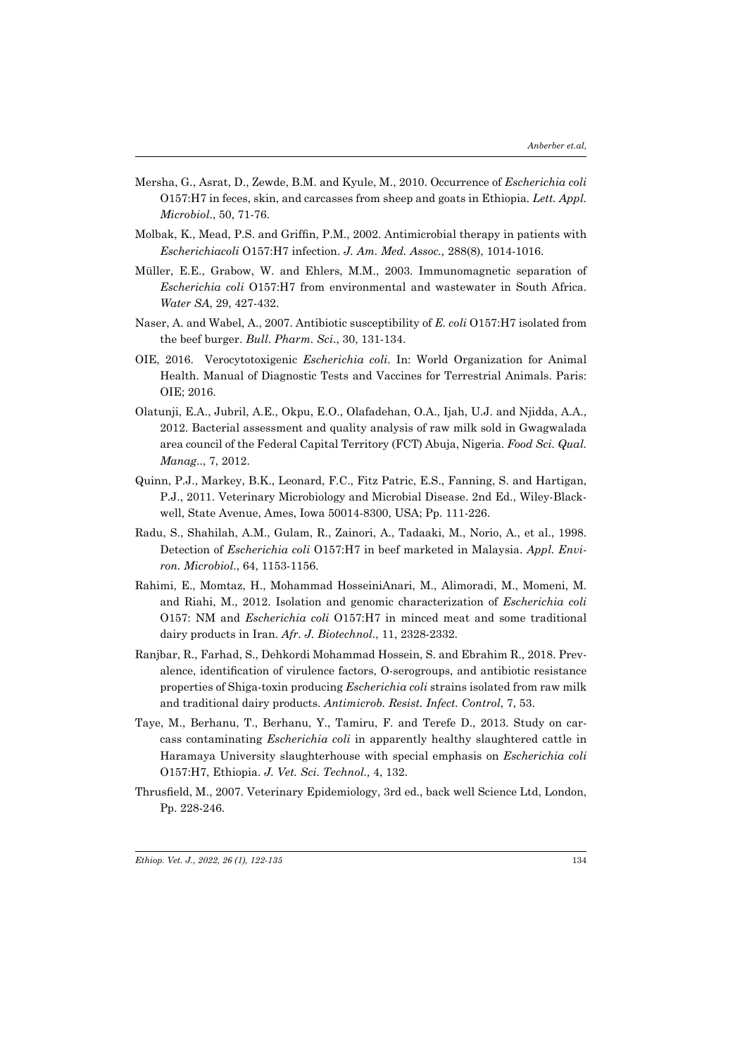- Mersha, G., Asrat, D., Zewde, B.M. and Kyule, M., 2010. Occurrence of *Escherichia coli* O157:H7 in feces, skin, and carcasses from sheep and goats in Ethiopia*. Lett. Appl. Microbiol*., 50, 71-76.
- Molbak, K., Mead, P.S. and Griffin, P.M., 2002. Antimicrobial therapy in patients with *Escherichiacoli* O157:H7 infection. *J. Am. Med. Assoc.,* 288(8), 1014-1016.
- Müller, E.E., Grabow, W. and Ehlers, M.M., 2003. Immunomagnetic separation of *Escherichia coli* O157:H7 from environmental and wastewater in South Africa. *Water SA*, 29, 427-432.
- Naser, A. and Wabel, A., 2007. Antibiotic susceptibility of *E. coli* O157:H7 isolated from the beef burger. *Bull. Pharm. Sci*., 30, 131-134.
- OIE, 2016. Verocytotoxigenic *Escherichia coli*. In: World Organization for Animal Health. Manual of Diagnostic Tests and Vaccines for Terrestrial Animals. Paris: OIE; 2016.
- Olatunji, E.A., Jubril, A.E., Okpu, E.O., Olafadehan, O.A., Ijah, U.J. and Njidda, A.A., 2012. Bacterial assessment and quality analysis of raw milk sold in Gwagwalada area council of the Federal Capital Territory (FCT) Abuja, Nigeria. *Food Sci. Qual. Manag*.., 7, 2012.
- Quinn, P.J., Markey, B.K., Leonard, F.C., Fitz Patric, E.S., Fanning, S. and Hartigan, P.J., 2011. Veterinary Microbiology and Microbial Disease. 2nd Ed., Wiley-Blackwell, State Avenue, Ames, Iowa 50014-8300, USA; Pp. 111-226.
- Radu, S., Shahilah, A.M., Gulam, R., Zainori, A., Tadaaki, M., Norio, A., et al., 1998. Detection of *Escherichia coli* O157:H7 in beef marketed in Malaysia. *Appl. Environ. Microbiol*., 64, 1153-1156.
- Rahimi, E., Momtaz, H., Mohammad HosseiniAnari, M., Alimoradi, M., Momeni, M. and Riahi, M., 2012. Isolation and genomic characterization of *Escherichia coli* O157: NM and *Escherichia coli* O157:H7 in minced meat and some traditional dairy products in Iran. *Afr. J. Biotechnol*., 11, 2328-2332.
- Ranjbar, R., Farhad, S., Dehkordi Mohammad Hossein, S. and Ebrahim R., 2018. Prevalence, identification of virulence factors, O-serogroups, and antibiotic resistance properties of Shiga-toxin producing *Escherichia coli* strains isolated from raw milk and traditional dairy products. *Antimicrob. Resist. Infect. Control*, 7, 53.
- Taye, M., Berhanu, T., Berhanu, Y., Tamiru, F. and Terefe D., 2013. Study on carcass contaminating *Escherichia coli* in apparently healthy slaughtered cattle in Haramaya University slaughterhouse with special emphasis on *Escherichia coli* O157:H7, Ethiopia. *J. Vet. Sci. Technol.,* 4, 132.
- Thrusfield, M., 2007. Veterinary Epidemiology, 3rd ed., back well Science Ltd, London, Pp. 228-246.